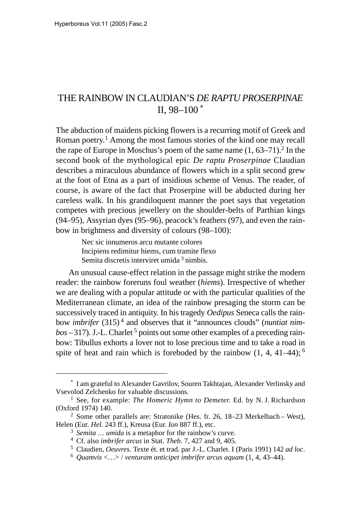## THE RAINBOW IN CLAUDIAN'S *DE RAPTU PROSERPINAE* II,  $98-100$ <sup>\*</sup>

The abduction of maidens picking flowers is a recurring motif of Greek and Roman poetry.1 Among the most famous stories of the kind one may recall the rape of Europe in Moschus's poem of the same name  $(1, 63-71)$ .<sup>2</sup> In the second book of the mythological epic *De raptu Proserpinae* Claudian describes a miraculous abundance of flowers which in a split second grew at the foot of Etna as a part of insidious scheme of Venus. The reader, of course, is aware of the fact that Proserpine will be abducted during her careless walk. In his grandiloquent manner the poet says that vegetation competes with precious jewellery on the shoulder-belts of Parthian kings (94–95), Assyrian dyes (95–96), peacock's feathers (97), and even the rainbow in brightness and diversity of colours (98–100):

> Nec sic innumeros arcu mutante colores Incipiens redimitur hiems, cum tramite flexo Semita discretis interviret umida 3 nimbis.

An unusual cause-effect relation in the passage might strike the modern reader: the rainbow foreruns foul weather (*hiems*). Irrespective of whether we are dealing with a popular attitude or with the particular qualities of the Mediterranean climate, an idea of the rainbow presaging the storm can be successively traced in antiquity. In his tragedy *Oedipus* Seneca calls the rainbow *imbrifer* (315) 4 and observes that it "announces clouds" (*nuntiat nim* $b$ os – 317). J.-L. Charlet <sup>5</sup> points out some other examples of a preceding rainbow: Tibullus exhorts a lover not to lose precious time and to take a road in spite of heat and rain which is foreboded by the rainbow  $(1, 4, 41-44)$ ;<sup>6</sup>

I am grateful to Alexander Gavrilov, Souren Takhtajan, Alexander Verlinsky and Vsevolod Zelchenko for valuable discussions.

<sup>1</sup> See, for example: *The Homeric Hymn to Demeter.* Ed. by N. J. Richardson (Oxford 1974) 140.

<sup>&</sup>lt;sup>2</sup> Some other parallels are: Stratonike (Hes. fr. 26, 18–23 Merkelbach – West), Helen (Eur. *Hel.* 243 ff.), Kreusa (Eur. *Ion* 887 ff.), etc.

<sup>3</sup> *Semita … umida* is a metaphor for the rainbow's curve.

<sup>4</sup> Cf. also *imbrifer arcus* in Stat. *Theb.* 7, 427 and 9, 405.

<sup>5</sup> Claudien, *Oeuvres.* Texte ét. et trad. par J.-L. Charlet. I (Paris 1991) 142 *ad loc*.

<sup>6</sup> *Quamvis* <…> / *venturam anticipet imbrifer arcus aquam* (1, 4, 43–44).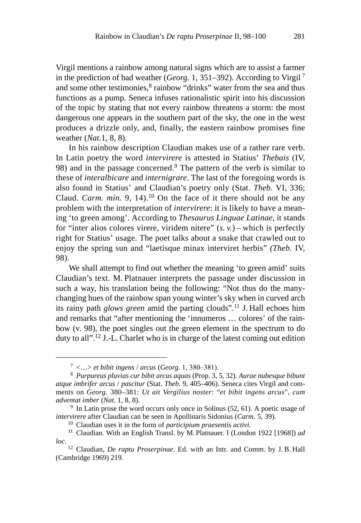Virgil mentions a rainbow among natural signs which are to assist a farmer in the prediction of bad weather (*Georg.* 1, 351–392). According to Virgil 7 and some other testimonies,<sup>8</sup> rainbow "drinks" water from the sea and thus functions as a pump. Seneca infuses rationalistic spirit into his discussion of the topic by stating that not every rainbow threatens a storm: the most dangerous one appears in the southern part of the sky, the one in the west produces a drizzle only, and, finally, the eastern rainbow promises fine weather (*Nat.*1, 8, 8).

In his rainbow description Claudian makes use of a rather rare verb. In Latin poetry the word *intervirere* is attested in Statius' *Thebais* (IV, 98) and in the passage concerned.9 The pattern of the verb is similar to these of *interalbicare* and *internigrare*. The last of the foregoing words is also found in Statius' and Claudian's poetry only (Stat. *Theb.* VI, 336; Claud. *Carm. min.* 9, 14).10 On the face of it there should not be any problem with the interpretation of *intervirere*: it is likely to have a meaning 'to green among'. According to *Thesaurus Linguae Latinae*, it stands for "inter alios colores virere, viridem nitere" (*s. v.*) – which is perfectly right for Statius' usage. The poet talks about a snake that crawled out to enjoy the spring sun and "laetisque minax interviret herbis" *(Theb*. IV, 98).

We shall attempt to find out whether the meaning 'to green amid' suits Claudian's text. M. Platnauer interprets the passage under discussion in such a way, his translation being the following: "Not thus do the manychanging hues of the rainbow span young winter's sky when in curved arch its rainy path *glows green* amid the parting clouds".11 J. Hall echoes him and remarks that "after mentioning the 'innumeros … colores' of the rainbow (v. 98), the poet singles out the green element in the spectrum to do duty to all".12 J.-L. Charlet who is in charge of the latest coming out edition

 $^7$  <...> et bibit ingens / arcus (Georg. 1, 380–381).

<sup>8</sup> *Purpureus pluvias cur bibit arcus aquas* (Prop. 3, 5, 32). *Aurae nubesque bibunt atque imbrifer arcus* / *pascitur* (Stat. *Theb.* 9, 405–406). Seneca cites Virgil and comments on *Georg.* 380–381: *Ut ait Vergilius noster*: "*et bibit ingens arcus*", *cum adventat imber* (*Nat.* 1, 8, 8).

 $9\,$  In Latin prose the word occurs only once in Solinus (52, 61). A poetic usage of *intervirere* after Claudian can be seen in Apollinaris Sidonius (*Carm*. 5, 39).

<sup>10</sup> Claudian uses it in the form of *participium praesentis activi.*

<sup>11</sup> Claudian. With an English Transl. by M. Platnauer. I (London 1922 [1968]) *ad loc*.

<sup>12</sup> Claudian, *De raptu Proserpinae*. Ed. with an Intr. and Comm. by J. B. Hall (Cambridge 1969) 219.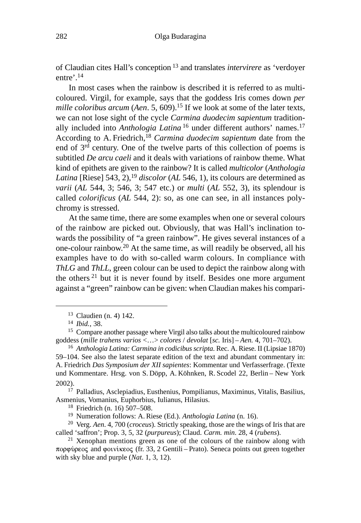of Claudian cites Hall's conception 13 and translates *intervirere* as 'verdoyer entre<sup>'</sup>.<sup>14</sup>

In most cases when the rainbow is described it is referred to as multicoloured. Virgil, for example, says that the goddess Iris comes down *per mille coloribus arcum* (*Aen.* 5, 609).<sup>15</sup> If we look at some of the later texts, we can not lose sight of the cycle *Carmina duodecim sapientum* traditionally included into *Anthologia Latina* <sup>16</sup> under different authors' names.<sup>17</sup> According to A. Friedrich,18 *Carmina duodecim sapientum* date from the end of 3rd century. One of the twelve parts of this collection of poems is subtitled *De arcu caeli* and it deals with variations of rainbow theme. What kind of epithets are given to the rainbow? It is called *multicolor* (*Anthologia Latina* [Riese]  $543$ , 2),<sup>19</sup> *discolor* (*AL* 546, 1), its colours are determined as *varii* (*AL* 544, 3; 546, 3; 547 etc.) or *multi* (*AL* 552, 3), its splendour is called *colorificus* (*AL* 544, 2): so, as one can see, in all instances polychromy is stressed.

At the same time, there are some examples when one or several colours of the rainbow are picked out. Obviously, that was Hall's inclination towards the possibility of "a green rainbow". He gives several instances of a one-colour rainbow.20 At the same time, as will readily be observed, all his examples have to do with so-called warm colours. In compliance with *ThLG* and *ThLL*, green colour can be used to depict the rainbow along with the others  $21$  but it is never found by itself. Besides one more argument against a "green" rainbow can be given: when Claudian makes his compari-

<sup>17</sup> Palladius, Asclepiadius, Eusthenius, Pompilianus, Maximinus, Vitalis, Basilius, Asmenius, Vomanius, Euphorbius, Iulianus, Hilasius.

<sup>13</sup> Claudien (n. 4) 142.

<sup>14</sup> *Ibid.*, 38.

<sup>&</sup>lt;sup>15</sup> Compare another passage where Virgil also talks about the multicoloured rainbow goddess (*mille trahens varios* <…> *colores* / *devolat* [*sc.* Iris] – *Aen.* 4, 701–702).

<sup>16</sup> *Anthologia Latina: Carmina in codicibus scripta*. Rec. A.Riese. II (Lipsiae 1870) 59–104. See also the latest separate edition of the text and abundant commentary in: A. Friedrich *Das Symposium der XII sapientes*: Kommentar und Verfasserfrage. (Texte und Kommentare. Hrsg. von S. Döpp, A. Köhnken, R. Scodel 22, Berlin – New York 2002).

<sup>18</sup> Friedrich (n. 16) 507–508.

<sup>19</sup> Numeration follows: A. Riese (Ed.). *Anthologia Latina* (n. 16).

<sup>20</sup> Verg. *Aen*. 4, 700 (*croceus*). Strictly speaking, those are the wings of Iris that are called 'saffron'; Prop. 3, 5, 32 (*purpureus*); Claud. *Carm. min*. 28, 4 (*rubens*).

<sup>&</sup>lt;sup>21</sup> Xenophan mentions green as one of the colours of the rainbow along with πορφύρεος and φοινίκεος (fr. 33, 2 Gentili – Prato). Seneca points out green together with sky blue and purple (*Nat*. 1, 3, 12).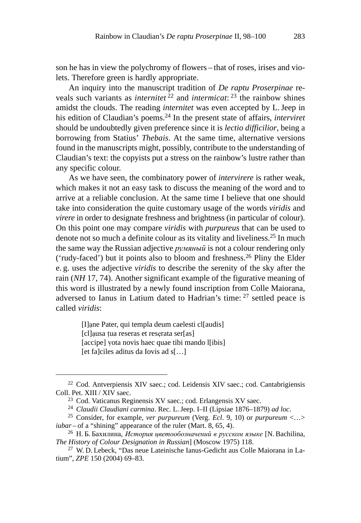son he has in view the polychromy of flowers – that of roses, irises and violets. Therefore green is hardly appropriate.

An inquiry into the manuscript tradition of *De raptu Proserpinae* reveals such variants as *internitet* 22 and *intermicat*: 23 the rainbow shines amidst the clouds. The reading *internitet* was even accepted by L.Jeep in his edition of Claudian's poems.24 In the present state of affairs, *interviret* should be undoubtedly given preference since it is *lectio difficilior*, being a borrowing from Statius' *Thebais*. At the same time, alternative versions found in the manuscripts might, possibly, contribute to the understanding of Claudian's text: the copyists put a stress on the rainbow's lustre rather than any specific colour.

As we have seen, the combinatory power of *intervirere* is rather weak, which makes it not an easy task to discuss the meaning of the word and to arrive at a reliable conclusion. At the same time I believe that one should take into consideration the quite customary usage of the words *viridis* and *virere* in order to designate freshness and brightness (in particular of colour). On this point one may compare *viridis* with *purpureus* that can be used to denote not so much a definite colour as its vitality and liveliness.<sup>25</sup> In much the same way the Russian adjective *румяный* is not a colour rendering only ('rudy-faced') but it points also to bloom and freshness.26 Pliny the Elder e. g. uses the adjective *viridis* to describe the serenity of the sky after the rain (*NH* 17, 74). Another significant example of the figurative meaning of this word is illustrated by a newly found inscription from Colle Maiorana, adversed to Ianus in Latium dated to Hadrian's time: 27 settled peace is called *viridis*:

> [I]ne Pater, qui templa deum caelesti cl[audis] [cl]ausa țua reseras et reserata ser[as] [accipe] vota novis haec quae tibi mando l[ibis] [et fa]ciles aditus da Iovis ad s[…]

<sup>22</sup> Cod. Antverpiensis XIV saec.; cod. Leidensis XIV saec.; cod. Cantabrigiensis Coll. Pet. XIII / XIV saec.

<sup>23</sup> Cod. Vaticanus Reginensis XV saec.; cod. Erlangensis XV saec.

<sup>24</sup> *Claudii Claudiani carmina*. Rec. L.Jeep. I–II (Lipsiae 1876–1879) *ad loc*.

<sup>25</sup> Consider, for example, *ver purpureum* (Verg. *Ecl*. 9, 10) or *purpureum* <…> *iubar* – of a "shining" appearance of the ruler (Mart. 8, 65, 4).

 $^{26}$  Н. Б. Бахилина, *История цветообозначений в русском языке* [N. Bachilina, *The History of Colour Designation in Russian*] (Moscow 1975) 118.

<sup>27</sup> W. D. Lebeck, "Das neue Lateinische Ianus-Gedicht aus Colle Maiorana in Latium", *ZPE* 150 (2004) 69–83.